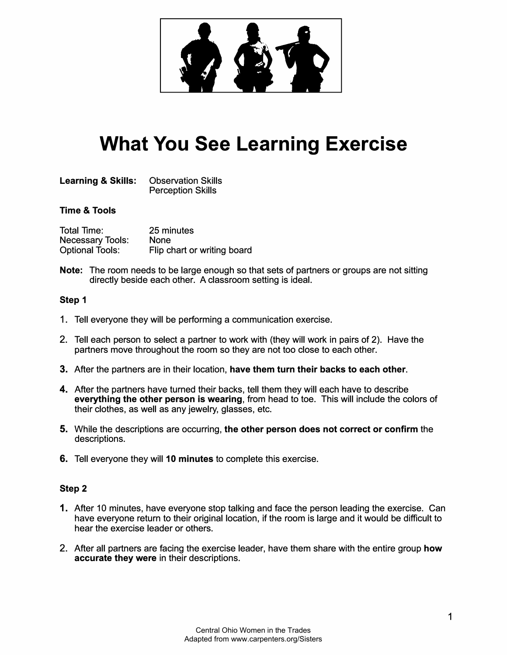

# **What You See Learning Exercise**

| <b>Learning &amp; Skills:</b> | <b>Observation Skills</b> |
|-------------------------------|---------------------------|
|                               | <b>Perception Skills</b>  |

## **Time & Tools**

| <b>Total Time:</b>      | 25 minutes                  |
|-------------------------|-----------------------------|
| <b>Necessary Tools:</b> | <b>None</b>                 |
| <b>Optional Tools:</b>  | Flip chart or writing board |

**Note:** The room needs to be large enough so that sets of partners or groups are not sitting directly beside each other. A classroom setting is ideal.

#### **Step 1**

- 1 . Tell everyone they will be performing a communication exercise.
- 2. Tell each person to select a partner to work with (they will work in pairs of 2). Have the partners move throughout the room so they are not too close to each other.
- **3.** After the partners are in their location, **have them turn their backs to each other.**
- 4. After the partners have turned their backs, tell them they will each have to describe **everything the other person is wearing,** from head to toe. This will include the colors of their clothes, as well as any jewelry, glasses, etc.
- **5.** While the descriptions are occurring, **the other person does not correct or confirm** the descriptions.
- **6.** Tell everyone they will **10 minutes** to complete this exercise.

#### **Step 2**

- 1. After 10 minutes, have everyone stop talking and face the person leading the exercise. Can have everyone return to their original location, if the room is large and it would be difficult to hear the exercise leader or others.
- 2. After all partners are facing the exercise leader, have them share with the entire group **how accurate they were** in their descriptions.